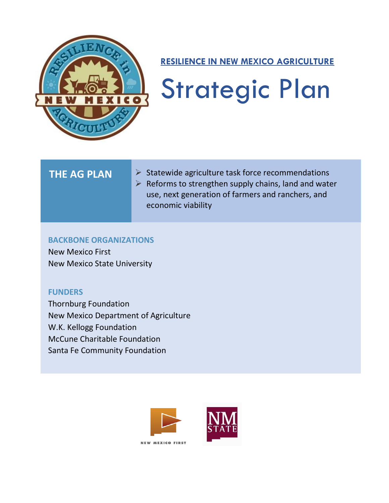

### **RESILIENCE IN NEW MEXICO AGRICULTURE**

# Strategic Plan

- THE AG PLAN ► > Statewide agriculture task force recommendations
	- $\triangleright$  Reforms to strengthen supply chains, land and water use, next generation of farmers and ranchers, and economic viability

### **BACKBONE ORGANIZATIONS**

 New Mexico First New Mexico State University

### **FUNDERS**

 Thornburg Foundation New Mexico Department of Agriculture W.K. Kellogg Foundation McCune Charitable Foundation Santa Fe Community Foundation



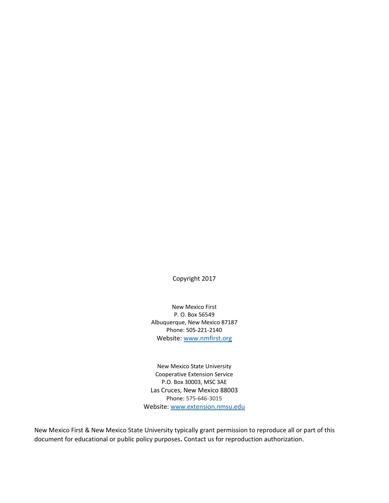Copyright 2017

New Mexico First P. O. Box 56549 Albuquerque, New Mexico 87187 Phone: 505-221-2140 Website: [www.nmfirst.org](http://www.nmfirst.org/)

New Mexico State University Cooperative Extension Service P.O. Box 30003, MSC 3AE Las Cruces, New Mexico 88003 Phone: 575-646-3015 Website[: www.extension.nmsu.edu](http://www.extension.nmsu.edu/)

New Mexico First & New Mexico State University typically grant permission to reproduce all or part of this document for educational or public policy purposes**.** Contact us for reproduction authorization.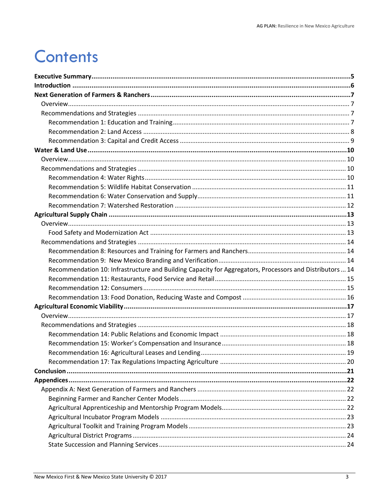### **Contents**

| Recommendation 10: Infrastructure and Building Capacity for Aggregators, Processors and Distributors  14 |  |
|----------------------------------------------------------------------------------------------------------|--|
|                                                                                                          |  |
|                                                                                                          |  |
|                                                                                                          |  |
|                                                                                                          |  |
|                                                                                                          |  |
|                                                                                                          |  |
|                                                                                                          |  |
|                                                                                                          |  |
|                                                                                                          |  |
|                                                                                                          |  |
|                                                                                                          |  |
|                                                                                                          |  |
|                                                                                                          |  |
|                                                                                                          |  |
|                                                                                                          |  |
|                                                                                                          |  |
|                                                                                                          |  |
|                                                                                                          |  |
|                                                                                                          |  |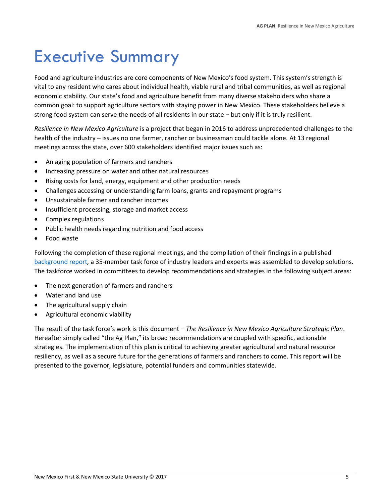### <span id="page-4-0"></span>Executive Summary

Food and agriculture industries are core components of New Mexico's food system. This system's strength is vital to any resident who cares about individual health, viable rural and tribal communities, as well as regional economic stability. Our state's food and agriculture benefit from many diverse stakeholders who share a common goal: to support agriculture sectors with staying power in New Mexico. These stakeholders believe a strong food system can serve the needs of all residents in our state – but only if it is truly resilient.

*Resilience in New Mexico Agriculture* is a project that began in 2016 to address unprecedented challenges to the health of the industry – issues no one farmer, rancher or businessman could tackle alone. At 13 regional meetings across the state, over 600 stakeholders identified major issues such as:

- An aging population of farmers and ranchers
- Increasing pressure on water and other natural resources
- Rising costs for land, energy, equipment and other production needs
- Challenges accessing or understanding farm loans, grants and repayment programs
- Unsustainable farmer and rancher incomes
- Insufficient processing, storage and market access
- Complex regulations
- Public health needs regarding nutrition and food access
- Food waste

Following the completion of these regional meetings, and the compilation of their findings in a published [background report](http://nmfirst.org/LiteratureRetrieve.aspx?ID=237563)*,* a 35-member task force of industry leaders and experts was assembled to develop solutions. The taskforce worked in committees to develop recommendations and strategies in the following subject areas:

- The next generation of farmers and ranchers
- Water and land use
- The agricultural supply chain
- Agricultural economic viability

The result of the task force's work is this document – *The Resilience in New Mexico Agriculture Strategic Plan*. Hereafter simply called "the Ag Plan," its broad recommendations are coupled with specific, actionable strategies. The implementation of this plan is critical to achieving greater agricultural and natural resource resiliency, as well as a secure future for the generations of farmers and ranchers to come. This report will be presented to the governor, legislature, potential funders and communities statewide.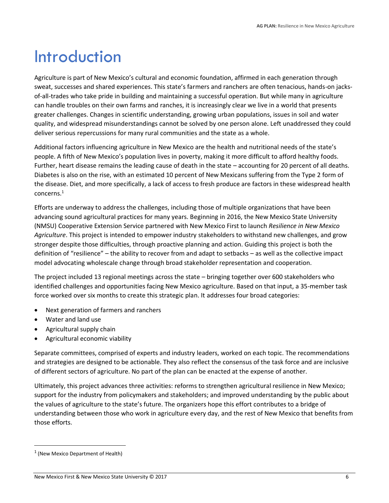### <span id="page-5-0"></span>Introduction

Agriculture is part of New Mexico's cultural and economic foundation, affirmed in each generation through sweat, successes and shared experiences. This state's farmers and ranchers are often tenacious, hands-on jacksof-all-trades who take pride in building and maintaining a successful operation. But while many in agriculture can handle troubles on their own farms and ranches, it is increasingly clear we live in a world that presents greater challenges. Changes in scientific understanding, growing urban populations, issues in soil and water quality, and widespread misunderstandings cannot be solved by one person alone. Left unaddressed they could deliver serious repercussions for many rural communities and the state as a whole.

Additional factors influencing agriculture in New Mexico are the health and nutritional needs of the state's people. A fifth of New Mexico's population lives in poverty, making it more difficult to afford healthy foods. Further, heart disease remains the leading cause of death in the state – accounting for 20 percent of all deaths. Diabetes is also on the rise, with an estimated 10 percent of New Mexicans suffering from the Type 2 form of the disease. Diet, and more specifically, a lack of access to fresh produce are factors in these widespread health concerns.<sup>1</sup>

Efforts are underway to address the challenges, including those of multiple organizations that have been advancing sound agricultural practices for many years. Beginning in 2016, the New Mexico State University (NMSU) Cooperative Extension Service partnered with New Mexico First to launch *Resilience in New Mexico Agriculture*. This project is intended to empower industry stakeholders to withstand new challenges, and grow stronger despite those difficulties, through proactive planning and action. Guiding this project is both the definition of "resilience" – the ability to recover from and adapt to setbacks – as well as the collective impact model advocating wholescale change through broad stakeholder representation and cooperation.

The project included 13 regional meetings across the state – bringing together over 600 stakeholders who identified challenges and opportunities facing New Mexico agriculture. Based on that input, a 35-member task force worked over six months to create this strategic plan. It addresses four broad categories:

- Next generation of farmers and ranchers
- Water and land use
- Agricultural supply chain
- Agricultural economic viability

Separate committees, comprised of experts and industry leaders, worked on each topic. The recommendations and strategies are designed to be actionable. They also reflect the consensus of the task force and are inclusive of different sectors of agriculture. No part of the plan can be enacted at the expense of another.

Ultimately, this project advances three activities: reforms to strengthen agricultural resilience in New Mexico; support for the industry from policymakers and stakeholders; and improved understanding by the public about the values of agriculture to the state's future. The organizers hope this effort contributes to a bridge of understanding between those who work in agriculture every day, and the rest of New Mexico that benefits from those efforts.

 $<sup>1</sup>$  (New Mexico Department of Health)</sup>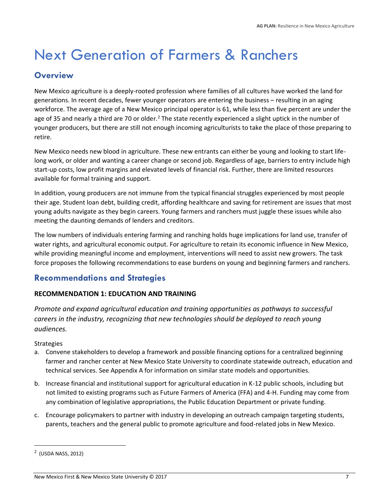### <span id="page-6-0"></span>Next Generation of Farmers & Ranchers

### <span id="page-6-1"></span>**Overview**

New Mexico agriculture is a deeply-rooted profession where families of all cultures have worked the land for generations. In recent decades, fewer younger operators are entering the business – resulting in an aging workforce. The average age of a New Mexico principal operator is 61, while less than five percent are under the age of 35 and nearly a third are 70 or older.<sup>2</sup> The state recently experienced a slight uptick in the number of younger producers, but there are still not enough incoming agriculturists to take the place of those preparing to retire.

New Mexico needs new blood in agriculture. These new entrants can either be young and looking to start lifelong work, or older and wanting a career change or second job. Regardless of age, barriers to entry include high start-up costs, low profit margins and elevated levels of financial risk. Further, there are limited resources available for formal training and support.

In addition, young producers are not immune from the typical financial struggles experienced by most people their age. Student loan debt, building credit, affording healthcare and saving for retirement are issues that most young adults navigate as they begin careers. Young farmers and ranchers must juggle these issues while also meeting the daunting demands of lenders and creditors.

The low numbers of individuals entering farming and ranching holds huge implications for land use, transfer of water rights, and agricultural economic output. For agriculture to retain its economic influence in New Mexico, while providing meaningful income and employment, interventions will need to assist new growers. The task force proposes the following recommendations to ease burdens on young and beginning farmers and ranchers.

### <span id="page-6-2"></span>**Recommendations and Strategies**

### <span id="page-6-3"></span>**RECOMMENDATION 1: EDUCATION AND TRAINING**

*Promote and expand agricultural education and training opportunities as pathways to successful careers in the industry, recognizing that new technologies should be deployed to reach young audiences.*

### **Strategies**

- a. Convene stakeholders to develop a framework and possible financing options for a centralized beginning farmer and rancher center at New Mexico State University to coordinate statewide outreach, education and technical services. See Appendix A for information on similar state models and opportunities.
- b. Increase financial and institutional support for agricultural education in K-12 public schools, including but not limited to existing programs such as Future Farmers of America (FFA) and 4-H. Funding may come from any combination of legislative appropriations, the Public Education Department or private funding.
- c. Encourage policymakers to partner with industry in developing an outreach campaign targeting students, parents, teachers and the general public to promote agriculture and food-related jobs in New Mexico.

<sup>&</sup>lt;sup>2</sup> (USDA NASS, 2012)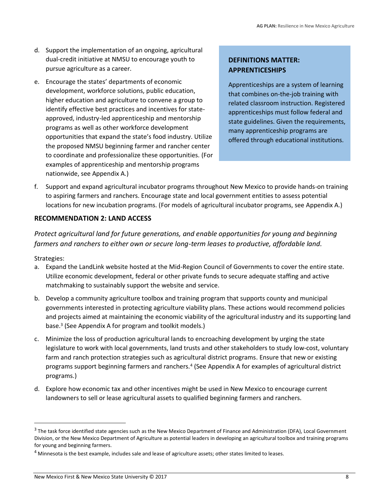- d. Support the implementation of an ongoing, agricultural dual-credit initiative at NMSU to encourage youth to pursue agriculture as a career.
- e. Encourage the states' departments of economic development, workforce solutions, public education, higher education and agriculture to convene a group to identify effective best practices and incentives for stateapproved, industry-led apprenticeship and mentorship programs as well as other workforce development opportunities that expand the state's food industry. Utilize the proposed NMSU beginning farmer and rancher center to coordinate and professionalize these opportunities. (For examples of apprenticeship and mentorship programs nationwide, see Appendix A.)

### **DEFINITIONS MATTER: APPRENTICESHIPS**

Apprenticeships are a system of learning that combines on-the-job training with related classroom instruction. Registered apprenticeships must follow federal and state guidelines. Given the requirements, many apprenticeship programs are offered through educational institutions.

f. Support and expand agricultural incubator programs throughout New Mexico to provide hands-on training to aspiring farmers and ranchers. Encourage state and local government entities to assess potential locations for new incubation programs. (For models of agricultural incubator programs, see Appendix A.)

### <span id="page-7-0"></span>**RECOMMENDATION 2: LAND ACCESS**

*Protect agricultural land for future generations, and enable opportunities for young and beginning farmers and ranchers to either own or secure long-term leases to productive, affordable land.*

Strategies:

- a. Expand the LandLink website hosted at the Mid-Region Council of Governments to cover the entire state. Utilize economic development, federal or other private funds to secure adequate staffing and active matchmaking to sustainably support the website and service.
- b. Develop a community agriculture toolbox and training program that supports county and municipal governments interested in protecting agriculture viability plans. These actions would recommend policies and projects aimed at maintaining the economic viability of the agricultural industry and its supporting land base.<sup>3</sup> (See Appendix A for program and toolkit models.)
- c. Minimize the loss of production agricultural lands to encroaching development by urging the state legislature to work with local governments, land trusts and other stakeholders to study low-cost, voluntary farm and ranch protection strategies such as agricultural district programs. Ensure that new or existing programs support beginning farmers and ranchers.<sup>4</sup> (See Appendix A for examples of agricultural district programs.)
- d. Explore how economic tax and other incentives might be used in New Mexico to encourage current landowners to sell or lease agricultural assets to qualified beginning farmers and ranchers.

<sup>&</sup>lt;sup>3</sup> The task force identified state agencies such as the New Mexico Department of Finance and Administration (DFA), Local Government Division, or the New Mexico Department of Agriculture as potential leaders in developing an agricultural toolbox and training programs for young and beginning farmers.

<sup>&</sup>lt;sup>4</sup> Minnesota is the best example, includes sale and lease of agriculture assets; other states limited to leases.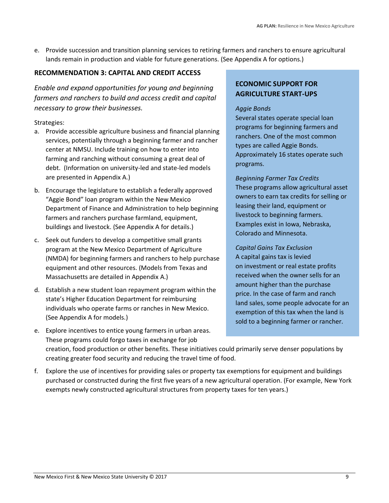e. Provide succession and transition planning services to retiring farmers and ranchers to ensure agricultural lands remain in production and viable for future generations. (See Appendix A for options.)

### <span id="page-8-0"></span>**RECOMMENDATION 3: CAPITAL AND CREDIT ACCESS**

*Enable and expand opportunities for young and beginning farmers and ranchers to build and access credit and capital necessary to grow their businesses.*

### Strategies:

- a. Provide accessible agriculture business and financial planning services, potentially through a beginning farmer and rancher center at NMSU. Include training on how to enter into farming and ranching without consuming a great deal of debt. (Information on university-led and state-led models are presented in Appendix A.)
- b. Encourage the legislature to establish a federally approved "Aggie Bond" loan program within the New Mexico Department of Finance and Administration to help beginning farmers and ranchers purchase farmland, equipment, buildings and livestock. (See Appendix A for details.)
- c. Seek out funders to develop a competitive small grants program at the New Mexico Department of Agriculture (NMDA) for beginning farmers and ranchers to help purchase equipment and other resources. (Models from Texas and Massachusetts are detailed in Appendix A.)
- d. Establish a new student loan repayment program within the state's Higher Education Department for reimbursing individuals who operate farms or ranches in New Mexico. (See Appendix A for models.)
- e. Explore incentives to entice young farmers in urban areas. These programs could forgo taxes in exchange for job

### **ECONOMIC SUPPORT FOR AGRICULTURE START-UPS**

#### *Aggie Bonds*

Several states operate special loan programs for beginning farmers and ranchers. One of the most common types are called Aggie Bonds. Approximately 16 states operate such programs.

*Beginning Farmer Tax Credits* These programs allow agricultural asset owners to earn tax credits for selling or leasing their land, equipment or livestock to beginning farmers. Examples exist in Iowa, Nebraska, Colorado and Minnesota.

*Capital Gains Tax Exclusion*  A capital gains tax is levied on investment or real estate profits received when the owner sells for an amount higher than the purchase price. In the case of farm and ranch land sales, some people advocate for an exemption of this tax when the land is sold to a beginning farmer or rancher.

creation, food production or other benefits. These initiatives could primarily serve denser populations by creating greater food security and reducing the travel time of food.

f. Explore the use of incentives for providing sales or property tax exemptions for equipment and buildings purchased or constructed during the first five years of a new agricultural operation. (For example, New York exempts newly constructed agricultural structures from property taxes for ten years.)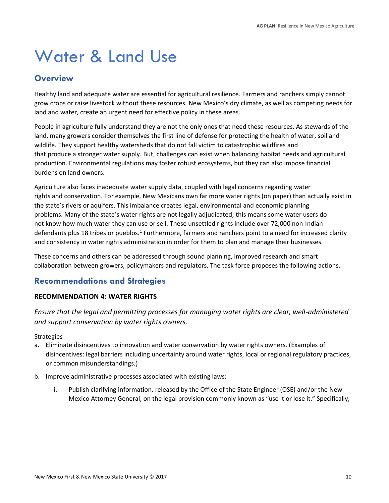### <span id="page-9-0"></span>Water & Land Use

### <span id="page-9-1"></span>**Overview**

Healthy land and adequate water are essential for agricultural resilience. Farmers and ranchers simply cannot grow crops or raise livestock without these resources. New Mexico's dry climate, as well as competing needs for land and water, create an urgent need for effective policy in these areas.

People in agriculture fully understand they are not the only ones that need these resources. As stewards of the land, many growers consider themselves the first line of defense for protecting the health of water, soil and wildlife. They support healthy watersheds that do not fall victim to catastrophic wildfires and that produce a stronger water supply. But, challenges can exist when balancing habitat needs and agricultural production. Environmental regulations may foster robust ecosystems, but they can also impose financial burdens on land owners.

Agriculture also faces inadequate water supply data, coupled with legal concerns regarding water rights and conservation. For example, New Mexicans own far more water rights (on paper) than actually exist in the state's rivers or aquifers. This imbalance creates legal, environmental and economic planning problems. Many of the state's water rights are not legally adjudicated; this means some water users do not know how much water they can use or sell. These unsettled rights include over 72,000 non-Indian defendants plus 18 tribes or pueblos.<sup>1</sup> Furthermore, farmers and ranchers point to a need for increased clarity and consistency in water rights administration in order for them to plan and manage their businesses.

These concerns and others can be addressed through sound planning, improved research and smart collaboration between growers, policymakers and regulators. The task force proposes the following actions.

### <span id="page-9-2"></span>**Recommendations and Strategies**

### <span id="page-9-3"></span>**RECOMMENDATION 4: WATER RIGHTS**

*Ensure that the legal and permitting processes for managing water rights are clear, well-administered and support conservation by water rights owners.*

- a. Eliminate disincentives to innovation and water conservation by water rights owners. (Examples of disincentives: legal barriers including uncertainty around water rights, local or regional regulatory practices, or common misunderstandings.)
- b. Improve administrative processes associated with existing laws:
	- i. Publish clarifying information, released by the Office of the State Engineer (OSE) and/or the New Mexico Attorney General, on the legal provision commonly known as "use it or lose it." Specifically,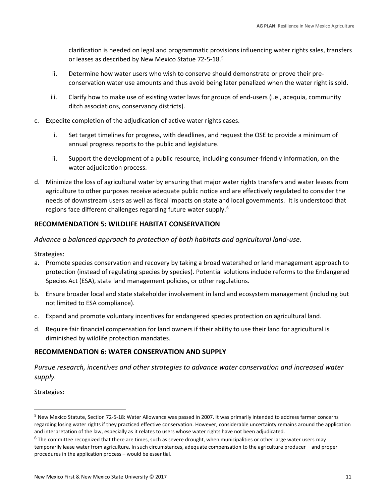clarification is needed on legal and programmatic provisions influencing water rights sales, transfers or leases as described by New Mexico Statue 72-5-18.<sup>5</sup>

- ii. Determine how water users who wish to conserve should demonstrate or prove their preconservation water use amounts and thus avoid being later penalized when the water right is sold.
- iii. Clarify how to make use of existing water laws for groups of end-users (i.e., acequia, community ditch associations, conservancy districts).
- c. Expedite completion of the adjudication of active water rights cases.
	- i. Set target timelines for progress, with deadlines, and request the OSE to provide a minimum of annual progress reports to the public and legislature.
	- ii. Support the development of a public resource, including consumer-friendly information, on the water adjudication process.
- d. Minimize the loss of agricultural water by ensuring that major water rights transfers and water leases from agriculture to other purposes receive adequate public notice and are effectively regulated to consider the needs of downstream users as well as fiscal impacts on state and local governments. It is understood that regions face different challenges regarding future water supply.<sup>6</sup>

### <span id="page-10-0"></span>**RECOMMENDATION 5: WILDLIFE HABITAT CONSERVATION**

*Advance a balanced approach to protection of both habitats and agricultural land-use.* 

Strategies:

- a. Promote species conservation and recovery by taking a broad watershed or land management approach to protection (instead of regulating species by species). Potential solutions include reforms to the Endangered Species Act (ESA), state land management policies, or other regulations.
- b. Ensure broader local and state stakeholder involvement in land and ecosystem management (including but not limited to ESA compliance).
- c. Expand and promote voluntary incentives for endangered species protection on agricultural land.
- d. Require fair financial compensation for land owners if their ability to use their land for agricultural is diminished by wildlife protection mandates.

#### <span id="page-10-1"></span>**RECOMMENDATION 6: WATER CONSERVATION AND SUPPLY**

*Pursue research, incentives and other strategies to advance water conservation and increased water supply.*

Strategies:

 $\overline{\phantom{0}}$ 

<sup>5</sup> New Mexico Statute, Section 72-5-18: Water Allowance was passed in 2007. It was primarily intended to address farmer concerns regarding losing water rights if they practiced effective conservation. However, considerable uncertainty remains around the application and interpretation of the law, especially as it relates to users whose water rights have not been adjudicated.

<sup>&</sup>lt;sup>6</sup> The committee recognized that there are times, such as severe drought, when municipalities or other large water users may temporarily lease water from agriculture. In such circumstances, adequate compensation to the agriculture producer – and proper procedures in the application process – would be essential.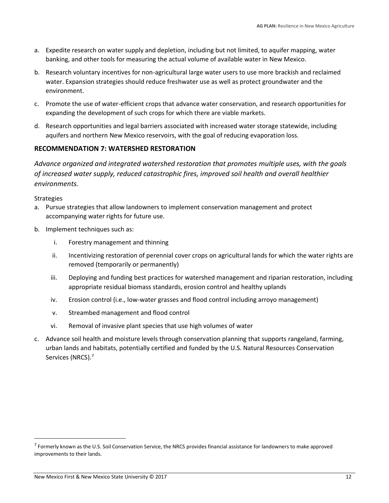- a. Expedite research on water supply and depletion, including but not limited, to aquifer mapping, water banking, and other tools for measuring the actual volume of available water in New Mexico.
- b. Research voluntary incentives for non-agricultural large water users to use more brackish and reclaimed water. Expansion strategies should reduce freshwater use as well as protect groundwater and the environment.
- c. Promote the use of water-efficient crops that advance water conservation, and research opportunities for expanding the development of such crops for which there are viable markets.
- d. Research opportunities and legal barriers associated with increased water storage statewide, including aquifers and northern New Mexico reservoirs, with the goal of reducing evaporation loss.

### <span id="page-11-0"></span>**RECOMMENDATION 7: WATERSHED RESTORATION**

*Advance organized and integrated watershed restoration that promotes multiple uses, with the goals of increased water supply, reduced catastrophic fires, improved soil health and overall healthier environments.*

**Strategies** 

- a. Pursue strategies that allow landowners to implement conservation management and protect accompanying water rights for future use.
- b. Implement techniques such as:
	- i. Forestry management and thinning
	- ii. Incentivizing restoration of perennial cover crops on agricultural lands for which the water rights are removed (temporarily or permanently)
	- iii. Deploying and funding best practices for watershed management and riparian restoration, including appropriate residual biomass standards, erosion control and healthy uplands
	- iv. Erosion control (i.e., low-water grasses and flood control including arroyo management)
	- v. Streambed management and flood control
	- vi. Removal of invasive plant species that use high volumes of water
- c. Advance soil health and moisture levels through conservation planning that supports rangeland, farming, urban lands and habitats, potentially certified and funded by the U.S. Natural Resources Conservation Services (NRCS).<sup>7</sup>

<sup>&</sup>lt;sup>7</sup> Formerly known as the U.S. Soil Conservation Service, the NRCS provides financial assistance for landowners to make approved improvements to their lands.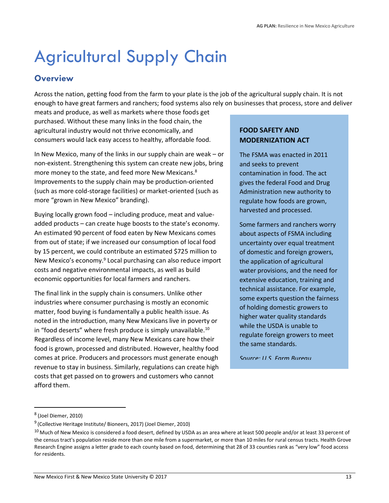## <span id="page-12-0"></span>Agricultural Supply Chain

### <span id="page-12-1"></span>**Overview**

Across the nation, getting food from the farm to your plate is the job of the agricultural supply chain. It is not enough to have great farmers and ranchers; food systems also rely on businesses that process, store and deliver

meats and produce, as well as markets where those foods get purchased. Without these many links in the food chain, the agricultural industry would not thrive economically, and consumers would lack easy access to healthy, affordable food.

In New Mexico, many of the links in our supply chain are weak – or non-existent. Strengthening this system can create new jobs, bring more money to the state, and feed more New Mexicans.<sup>8</sup> Improvements to the supply chain may be production-oriented (such as more cold-storage facilities) or market-oriented (such as more "grown in New Mexico" branding).

Buying locally grown food – including produce, meat and valueadded products – can create huge boosts to the state's economy. An estimated 90 percent of food eaten by New Mexicans comes from out of state; if we increased our consumption of local food by 15 percent, we could contribute an estimated \$725 million to New Mexico's economy.<sup>9</sup> Local purchasing can also reduce import costs and negative environmental impacts, as well as build economic opportunities for local farmers and ranchers.

The final link in the supply chain is consumers. Unlike other industries where consumer purchasing is mostly an economic matter, food buying is fundamentally a public health issue. As noted in the introduction, many New Mexicans live in poverty or in "food deserts" where fresh produce is simply unavailable.<sup>10</sup> Regardless of income level, many New Mexicans care how their food is grown, processed and distributed. However, healthy food comes at price. Producers and processors must generate enough revenue to stay in business. Similarly, regulations can create high costs that get passed on to growers and customers who cannot afford them.

### **FOOD SAFETY AND MODERNIZATION ACT**

The FSMA was enacted in 2011 and seeks to prevent contamination in food. The act gives the federal Food and Drug Administration new authority to regulate how foods are grown, harvested and processed.

Some farmers and ranchers worry about aspects of FSMA including uncertainty over equal treatment of domestic and foreign growers, the application of agricultural water provisions, and the need for extensive education, training and technical assistance. For example, some experts question the fairness of holding domestic growers to higher water quality standards while the USDA is unable to regulate foreign growers to meet the same standards.

*Source: U.S. Farm Bureau* 

l

<sup>&</sup>lt;sup>8</sup> (Joel Diemer, 2010)

<sup>&</sup>lt;sup>9</sup> (Collective Heritage Institute/ Bioneers, 2017) (Joel Diemer, 2010)

 $10$  Much of New Mexico is considered a food desert, defined by USDA as an area where at least 500 people and/or at least 33 percent of the census tract's population reside more than one mile from a supermarket, or more than 10 miles for rural census tracts. Health Grove Research Engine assigns a letter grade to each county based on food, determining that 28 of 33 counties rank as "very low" food access for residents.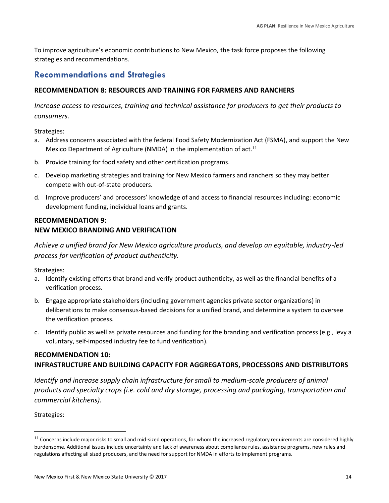To improve agriculture's economic contributions to New Mexico, the task force proposes the following strategies and recommendations.

### <span id="page-13-0"></span>**Recommendations and Strategies**

### <span id="page-13-1"></span>**RECOMMENDATION 8: RESOURCES AND TRAINING FOR FARMERS AND RANCHERS**

*Increase access to resources, training and technical assistance for producers to get their products to consumers.*

Strategies:

- a. Address concerns associated with the federal Food Safety Modernization Act (FSMA), and support the New Mexico Department of Agriculture (NMDA) in the implementation of act.<sup>11</sup>
- b. Provide training for food safety and other certification programs.
- c. Develop marketing strategies and training for New Mexico farmers and ranchers so they may better compete with out-of-state producers.
- d. Improve producers' and processors' knowledge of and access to financial resources including: economic development funding, individual loans and grants.

### <span id="page-13-2"></span>**RECOMMENDATION 9: NEW MEXICO BRANDING AND VERIFICATION**

*Achieve a unified brand for New Mexico agriculture products, and develop an equitable, industry-led process for verification of product authenticity.*

Strategies:

- a. Identify existing efforts that brand and verify product authenticity, as well as the financial benefits of a verification process.
- b. Engage appropriate stakeholders (including government agencies private sector organizations) in deliberations to make consensus-based decisions for a unified brand, and determine a system to oversee the verification process.
- c. Identify public as well as private resources and funding for the branding and verification process (e.g., levy a voluntary, self-imposed industry fee to fund verification).

### <span id="page-13-3"></span>**RECOMMENDATION 10: INFRASTRUCTURE AND BUILDING CAPACITY FOR AGGREGATORS, PROCESSORS AND DISTRIBUTORS**

*Identify and increase supply chain infrastructure for small to medium-scale producers of animal products and specialty crops (i.e. cold and dry storage, processing and packaging, transportation and commercial kitchens).* 

Strategies:

l

<sup>&</sup>lt;sup>11</sup> Concerns include major risks to small and mid-sized operations, for whom the increased regulatory requirements are considered highly burdensome. Additional issues include uncertainty and lack of awareness about compliance rules, assistance programs, new rules and regulations affecting all sized producers, and the need for support for NMDA in efforts to implement programs.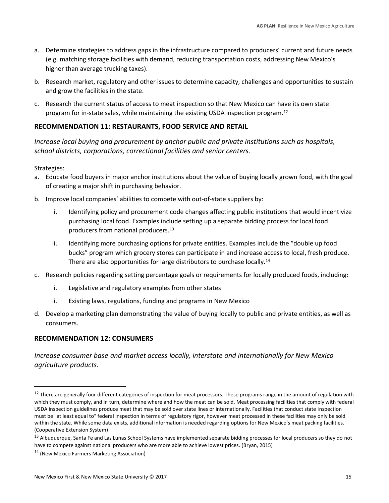- a. Determine strategies to address gaps in the infrastructure compared to producers' current and future needs (e.g. matching storage facilities with demand, reducing transportation costs, addressing New Mexico's higher than average trucking taxes).
- b. Research market, regulatory and other issues to determine capacity, challenges and opportunities to sustain and grow the facilities in the state.
- c. Research the current status of access to meat inspection so that New Mexico can have its own state program for in-state sales, while maintaining the existing USDA inspection program.<sup>12</sup>

### <span id="page-14-0"></span>**RECOMMENDATION 11: RESTAURANTS, FOOD SERVICE AND RETAIL**

*Increase local buying and procurement by anchor public and private institutions such as hospitals, school districts, corporations, correctional facilities and senior centers.*

Strategies:

l

- a. Educate food buyers in major anchor institutions about the value of buying locally grown food, with the goal of creating a major shift in purchasing behavior.
- b. Improve local companies' abilities to compete with out-of-state suppliers by:
	- i. Identifying policy and procurement code changes affecting public institutions that would incentivize purchasing local food. Examples include setting up a separate bidding process for local food producers from national producers.<sup>13</sup>
	- ii. Identifying more purchasing options for private entities. Examples include the "double up food bucks" program which grocery stores can participate in and increase access to local, fresh produce. There are also opportunities for large distributors to purchase locally.<sup>14</sup>
- c. Research policies regarding setting percentage goals or requirements for locally produced foods, including:
	- i. Legislative and regulatory examples from other states
	- ii. Existing laws, regulations, funding and programs in New Mexico
- d. Develop a marketing plan demonstrating the value of buying locally to public and private entities, as well as consumers.

### <span id="page-14-1"></span>**RECOMMENDATION 12: CONSUMERS**

*Increase consumer base and market access locally, interstate and internationally for New Mexico agriculture products.*

<sup>&</sup>lt;sup>12</sup> There are generally four different categories of inspection for meat processors. These programs range in the amount of regulation with which they must comply, and in turn, determine where and how the meat can be sold. Meat processing facilities that comply with federal USDA inspection guidelines produce meat that may be sold over state lines or internationally. Facilities that conduct state inspection must be "at least equal to" federal inspection in terms of regulatory rigor, however meat processed in these facilities may only be sold within the state. While some data exists, additional information is needed regarding options for New Mexico's meat packing facilities. (Cooperative Extension System)

<sup>&</sup>lt;sup>13</sup> Albuquerque, Santa Fe and Las Lunas School Systems have implemented separate bidding processes for local producers so they do not have to compete against national producers who are more able to achieve lowest prices. (Bryan, 2015)

<sup>&</sup>lt;sup>14</sup> (New Mexico Farmers Marketing Association)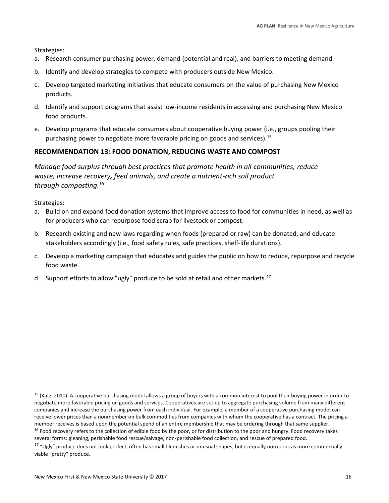Strategies:

- a. Research consumer purchasing power, demand (potential and real), and barriers to meeting demand.
- b. Identify and develop strategies to compete with producers outside New Mexico.
- c. Develop targeted marketing initiatives that educate consumers on the value of purchasing New Mexico products.
- d. Identify and support programs that assist low-income residents in accessing and purchasing New Mexico food products.
- e. Develop programs that educate consumers about cooperative buying power (i.e., groups pooling their purchasing power to negotiate more favorable pricing on goods and services).<sup>15</sup>

### <span id="page-15-0"></span>**RECOMMENDATION 13: FOOD DONATION, REDUCING WASTE AND COMPOST**

*Manage food surplus through best practices that promote health in all communities, reduce waste, increase recovery, feed animals, and create a nutrient-rich soil product through composting.<sup>16</sup>*

Strategies:

 $\overline{\phantom{0}}$ 

- a. Build on and expand food donation systems that improve access to food for communities in need, as well as for producers who can repurpose food scrap for livestock or compost.
- b. Research existing and new laws regarding when foods (prepared or raw) can be donated, and educate stakeholders accordingly (i.e., food safety rules, safe practices, shelf-life durations).
- c. Develop a marketing campaign that educates and guides the public on how to reduce, repurpose and recycle food waste.
- d. Support efforts to allow "ugly" produce to be sold at retail and other markets.<sup>17</sup>

<sup>&</sup>lt;sup>15</sup> (Katz, 2010) A cooperative purchasing model allows a group of buyers with a common interest to pool their buying power in order to negotiate more favorable pricing on goods and services. Cooperatives are set up to aggregate purchasing volume from many different companies and increase the purchasing power from each individual. For example, a member of a cooperative purchasing model can receive lower prices than a nonmember on bulk commodities from companies with whom the cooperative has a contract. The pricing a member receives is based upon the potential spend of an entire membership that may be ordering through that same supplier.  $16$  Food recovery refers to the collection of edible food by the poor, or for distribution to the poor and hungry. Food recovery takes

several forms: gleaning, perishable food rescue/salvage, non-perishable food collection, and rescue of prepared food.

 $17$  "Ugly" produce does not look perfect, often has small blemishes or unusual shapes, but is equally nutritious as more commercially viable "pretty" produce.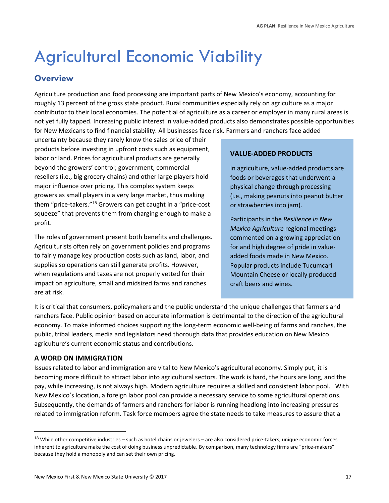### <span id="page-16-0"></span>Agricultural Economic Viability

### <span id="page-16-1"></span>**Overview**

Agriculture production and food processing are important parts of New Mexico's economy, accounting for roughly 13 percent of the gross state product. Rural communities especially rely on agriculture as a major contributor to their local economies. The potential of agriculture as a career or employer in many rural areas is not yet fully tapped. Increasing public interest in value-added products also demonstrates possible opportunities for New Mexicans to find financial stability. All businesses face risk. Farmers and ranchers face added

uncertainty because they rarely know the sales price of their products before investing in upfront costs such as equipment, labor or land. Prices for agricultural products are generally beyond the growers' control; government, commercial resellers (i.e., big grocery chains) and other large players hold major influence over pricing. This complex system keeps growers as small players in a very large market, thus making them "price-takers."<sup>18</sup> Growers can get caught in a "price-cost squeeze" that prevents them from charging enough to make a profit.

The roles of government present both benefits and challenges. Agriculturists often rely on government policies and programs to fairly manage key production costs such as land, labor, and supplies so operations can still generate profits. However, when regulations and taxes are not properly vetted for their impact on agriculture, small and midsized farms and ranches are at risk.

### **VALUE-ADDED PRODUCTS**

In agriculture, value-added products are foods or beverages that underwent a physical change through processing (i.e., making peanuts into peanut butter or strawberries into jam).

Participants in the *Resilience in New Mexico Agriculture* regional meetings commented on a growing appreciation for and high degree of pride in valueadded foods made in New Mexico. Popular products include Tucumcari Mountain Cheese or locally produced craft beers and wines.

It is critical that consumers, policymakers and the public understand the unique challenges that farmers and ranchers face. Public opinion based on accurate information is detrimental to the direction of the agricultural economy. To make informed choices supporting the long-term economic well-being of farms and ranches, the public, tribal leaders, media and legislators need thorough data that provides education on New Mexico agriculture's current economic status and contributions.

### **A WORD ON IMMIGRATION**

l

Issues related to labor and immigration are vital to New Mexico's agricultural economy. Simply put, it is becoming more difficult to attract labor into agricultural sectors. The work is hard, the hours are long, and the pay, while increasing, is not always high. Modern agriculture requires a skilled and consistent labor pool. With New Mexico's location, a foreign labor pool can provide a necessary service to some agricultural operations*.*  Subsequently, the demands of farmers and ranchers for labor is running headlong into increasing pressures related to immigration reform. Task force members agree the state needs to take measures to assure that a

 $18$  While other competitive industries – such as hotel chains or jewelers – are also considered price-takers, unique economic forces inherent to agriculture make the cost of doing business unpredictable. By comparison, many technology firms are "price-makers" because they hold a monopoly and can set their own pricing.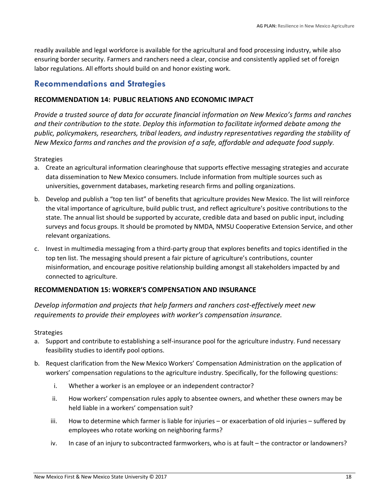readily available and legal workforce is available for the agricultural and food processing industry, while also ensuring border security. Farmers and ranchers need a clear, concise and consistently applied set of foreign labor regulations. All efforts should build on and honor existing work.

### <span id="page-17-0"></span>**Recommendations and Strategies**

### <span id="page-17-1"></span>**RECOMMENDATION 14: PUBLIC RELATIONS AND ECONOMIC IMPACT**

*Provide a trusted source of data for accurate financial information on New Mexico's farms and ranches and their contribution to the state. Deploy this information to facilitate informed debate among the public, policymakers, researchers, tribal leaders, and industry representatives regarding the stability of New Mexico farms and ranches and the provision of a safe, affordable and adequate food supply.* 

### **Strategies**

- a. Create an agricultural information clearinghouse that supports effective messaging strategies and accurate data dissemination to New Mexico consumers. Include information from multiple sources such as universities, government databases, marketing research firms and polling organizations.
- b. Develop and publish a "top ten list" of benefits that agriculture provides New Mexico. The list will reinforce the vital importance of agriculture, build public trust, and reflect agriculture's positive contributions to the state. The annual list should be supported by accurate, credible data and based on public input, including surveys and focus groups. It should be promoted by NMDA, NMSU Cooperative Extension Service, and other relevant organizations.
- c. Invest in multimedia messaging from a third-party group that explores benefits and topics identified in the top ten list. The messaging should present a fair picture of agriculture's contributions, counter misinformation, and encourage positive relationship building amongst all stakeholders impacted by and connected to agriculture.

### <span id="page-17-2"></span>**RECOMMENDATION 15: WORKER'S COMPENSATION AND INSURANCE**

*Develop information and projects that help farmers and ranchers cost-effectively meet new requirements to provide their employees with worker's compensation insurance.*

- a. Support and contribute to establishing a self-insurance pool for the agriculture industry. Fund necessary feasibility studies to identify pool options.
- b. Request clarification from the New Mexico Workers' Compensation Administration on the application of workers' compensation regulations to the agriculture industry. Specifically, for the following questions:
	- i. Whether a worker is an employee or an independent contractor?
	- ii. How workers' compensation rules apply to absentee owners, and whether these owners may be held liable in a workers' compensation suit?
	- iii. How to determine which farmer is liable for injuries or exacerbation of old injuries suffered by employees who rotate working on neighboring farms?
	- iv. In case of an injury to subcontracted farmworkers, who is at fault the contractor or landowners?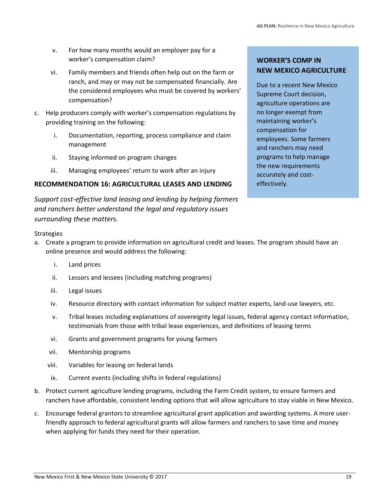- v. For how many months would an employer pay for a worker's compensation claim?
- vi. Family members and friends often help out on the farm or ranch, and may or may not be compensated financially. Are the considered employees who must be covered by workers' compensation?
- c. Help producers comply with worker's compensation regulations by providing training on the following:
	- i. Documentation, reporting, process compliance and claim management
	- ii. Staying informed on program changes
	- iii. Managing employees' return to work after an injury

### <span id="page-18-0"></span>**RECOMMENDATION 16: AGRICULTURAL LEASES AND LENDING**

*Support cost-effective land leasing and lending by helping farmers and ranchers better understand the legal and regulatory issues surrounding these matters.* 

### **WORKER'S COMP IN NEW MEXICO AGRICULTURE**

Due to a recent New Mexico Supreme Court decision, agriculture operations are no longer exempt from maintaining worker's compensation for employees. Some farmers and ranchers may need programs to help manage the new requirements accurately and costeffectively.

- a. Create a program to provide information on agricultural credit and leases. The program should have an online presence and would address the following:
	- i. Land prices
	- ii. Lessors and lessees (including matching programs)
	- iii. Legal issues
	- iv. Resource directory with contact information for subject matter experts, land-use lawyers, etc.
	- v. Tribal leases including explanations of sovereignty legal issues, federal agency contact information, testimonials from those with tribal lease experiences, and definitions of leasing terms
	- vi. Grants and government programs for young farmers
	- vii. Mentorship programs
	- viii. Variables for leasing on federal lands
	- ix. Current events (including shifts in federal regulations)
- b. Protect current agriculture lending programs, including the Farm Credit system, to ensure farmers and ranchers have affordable, consistent lending options that will allow agriculture to stay viable in New Mexico.
- c. Encourage federal grantors to streamline agricultural grant application and awarding systems. A more userfriendly approach to federal agricultural grants will allow farmers and ranchers to save time and money when applying for funds they need for their operation.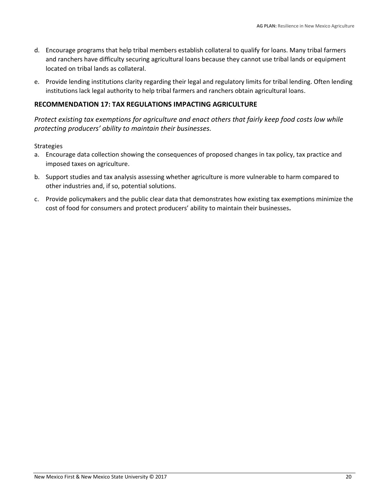- d. Encourage programs that help tribal members establish collateral to qualify for loans. Many tribal farmers and ranchers have difficulty securing agricultural loans because they cannot use tribal lands or equipment located on tribal lands as collateral.
- e. Provide lending institutions clarity regarding their legal and regulatory limits for tribal lending. Often lending institutions lack legal authority to help tribal farmers and ranchers obtain agricultural loans.

### <span id="page-19-0"></span>**RECOMMENDATION 17: TAX REGULATIONS IMPACTING AGRICULTURE**

*Protect existing tax exemptions for agriculture and enact others that fairly keep food costs low while protecting producers' ability to maintain their businesses.*

- a. Encourage data collection showing the consequences of proposed changes in tax policy, tax practice and imposed taxes on agriculture.
- b. Support studies and tax analysis assessing whether agriculture is more vulnerable to harm compared to other industries and, if so, potential solutions.
- c. Provide policymakers and the public clear data that demonstrates how existing tax exemptions minimize the cost of food for consumers and protect producers' ability to maintain their businesses**.**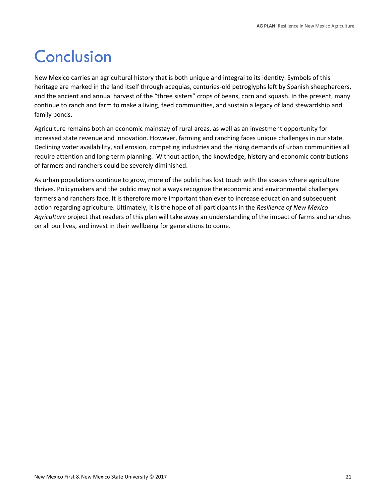### <span id="page-20-0"></span>Conclusion

New Mexico carries an agricultural history that is both unique and integral to its identity. Symbols of this heritage are marked in the land itself through acequias, centuries-old petroglyphs left by Spanish sheepherders, and the ancient and annual harvest of the "three sisters" crops of beans, corn and squash. In the present, many continue to ranch and farm to make a living, feed communities, and sustain a legacy of land stewardship and family bonds.

Agriculture remains both an economic mainstay of rural areas, as well as an investment opportunity for increased state revenue and innovation. However, farming and ranching faces unique challenges in our state. Declining water availability, soil erosion, competing industries and the rising demands of urban communities all require attention and long-term planning. Without action, the knowledge, history and economic contributions of farmers and ranchers could be severely diminished.

As urban populations continue to grow, more of the public has lost touch with the spaces where agriculture thrives. Policymakers and the public may not always recognize the economic and environmental challenges farmers and ranchers face. It is therefore more important than ever to increase education and subsequent action regarding agriculture. Ultimately, it is the hope of all participants in the *Resilience of New Mexico Agriculture* project that readers of this plan will take away an understanding of the impact of farms and ranches on all our lives, and invest in their wellbeing for generations to come.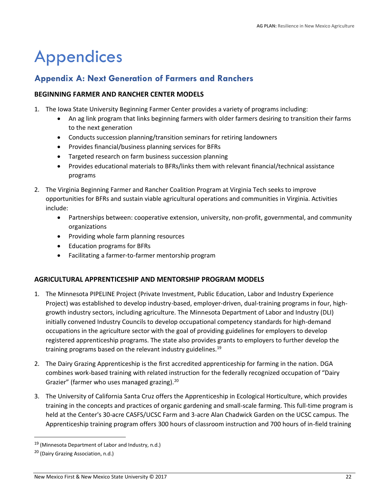### <span id="page-21-0"></span>Appendices

### <span id="page-21-1"></span>**Appendix A: Next Generation of Farmers and Ranchers**

### <span id="page-21-2"></span>**BEGINNING FARMER AND RANCHER CENTER MODELS**

- 1. The [Iowa State University Beginning Farmer Center](http://www.extension.iastate.edu/bfc/) provides a variety of programs including:
	- An ag link program that links beginning farmers with older farmers desiring to transition their farms to the next generation
	- Conducts succession planning/transition seminars for retiring landowners
	- Provides financial/business planning services for BFRs
	- Targeted research on farm business succession planning
	- Provides educational materials to BFRs/links them with relevant financial/technical assistance programs
- 2. The [Virginia Beginning Farmer and Rancher Coalition Program](https://www.vabeginningfarmer.alce.vt.edu/) at Virginia Tech seeks to improve opportunities for BFRs and sustain viable agricultural operations and communities in Virginia. Activities include:
	- Partnerships between: cooperative extension, university, non-profit, governmental, and community organizations
	- Providing whole farm planning resources
	- Education programs for BFRs
	- Facilitating a farmer-to-farmer mentorship program

### <span id="page-21-3"></span>**AGRICULTURAL APPRENTICESHIP AND MENTORSHIP PROGRAM MODELS**

- 1. The Minnesota PIPELINE Project (Private Investment, Public Education, Labor and Industry Experience Project) was established to develop industry-based, employer-driven, dual-training programs in four, highgrowth industry sectors, including agriculture. The Minnesota Department of Labor and Industry (DLI) initially convened Industry Councils to develop occupational competency standards for high-demand occupations in the agriculture sector with the goal of providing guidelines for employers to develop registered apprenticeship programs. The state also provides grants to employers to further develop the training programs based on the relevant industry guidelines.<sup>19</sup>
- 2. The Dairy Grazing Apprenticeship is the first accredited apprenticeship for farming in the nation. DGA combines work-based training with related instruction for the federally recognized occupation of "Dairy Grazier" (farmer who uses managed grazing).<sup>20</sup>
- 3. The University of California Santa Cruz offers the Apprenticeship in Ecological Horticulture, which provides training in the concepts and practices of organic gardening and small-scale farming. This full-time program is held at the Center's 30-acre CASFS/UCSC Farm and 3-acre Alan Chadwick Garden on the UCSC campus. The Apprenticeship training program offers 300 hours of classroom instruction and 700 hours of in-field training

<sup>19</sup> (Minnesota Department of Labor and Industry, n.d.)

<sup>20</sup> (Dairy Grazing Association, n.d.)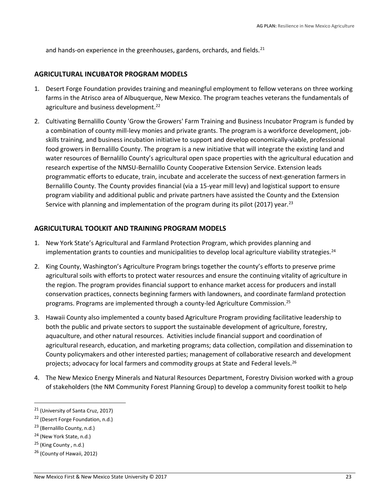and hands-on experience in the greenhouses, gardens, orchards, and fields.<sup>21</sup>

#### <span id="page-22-0"></span>**AGRICULTURAL INCUBATOR PROGRAM MODELS**

- 1. Desert Forge Foundation provides training and meaningful employment to fellow veterans on three working farms in the Atrisco area of Albuquerque, New Mexico. The program teaches veterans the fundamentals of agriculture and business development.<sup>22</sup>
- 2. Cultivating Bernalillo County 'Grow the Growers' Farm Training and Business Incubator Program is funded by a combination of county mill-levy monies and private grants. The program is a workforce development, jobskills training, and business incubation initiative to support and develop economically-viable, professional food growers in Bernalillo County. The program is a new initiative that will integrate the existing land and water resources of Bernalillo County's agricultural open space properties with the agricultural education and research expertise of the NMSU-Bernalillo County Cooperative Extension Service. Extension leads programmatic efforts to educate, train, incubate and accelerate the success of next-generation farmers in Bernalillo County. The County provides financial (via a 15-year mill levy) and logistical support to ensure program viability and additional public and private partners have assisted the County and the Extension Service with planning and implementation of the program during its pilot (2017) year.<sup>23</sup>

### <span id="page-22-1"></span>**AGRICULTURAL TOOLKIT AND TRAINING PROGRAM MODELS**

- 1. New York State's Agricultural and Farmland Protection Program, which provides planning and implementation grants to counties and municipalities to develop local agriculture viability strategies. $^{24}$
- 2. King County, Washington's Agriculture Program brings together the county's efforts to preserve prime agricultural soils with efforts to protect water resources and ensure the continuing vitality of agriculture in the region. The program provides financial support to enhance market access for producers and install conservation practices, connects beginning farmers with landowners, and coordinate farmland protection programs. Programs are implemented through a county-led Agriculture Commission.<sup>25</sup>
- 3. Hawaii County also implemented a county based Agriculture Program providing facilitative leadership to both the public and private sectors to support the sustainable development of agriculture, forestry, aquaculture, and other natural resources. Activities include financial support and coordination of agricultural research, education, and marketing programs; data collection, compilation and dissemination to County policymakers and other interested parties; management of collaborative research and development projects; advocacy for local farmers and commodity groups at State and Federal levels.<sup>26</sup>
- 4. The New Mexico Energy Minerals and Natural Resources Department, Forestry Division worked with a group of stakeholders (the NM Community Forest Planning Group) to develop a community forest toolkit to help

 $\overline{\phantom{0}}$ 

<sup>21</sup> (University of Santa Cruz, 2017)

<sup>22</sup> (Desert Forge Foundation, n.d.)

<sup>23</sup> (Bernalillo County, n.d.)

<sup>&</sup>lt;sup>24</sup> (New York State, n.d.)

 $25$  (King County, n.d.)

<sup>&</sup>lt;sup>26</sup> (County of Hawaii, 2012)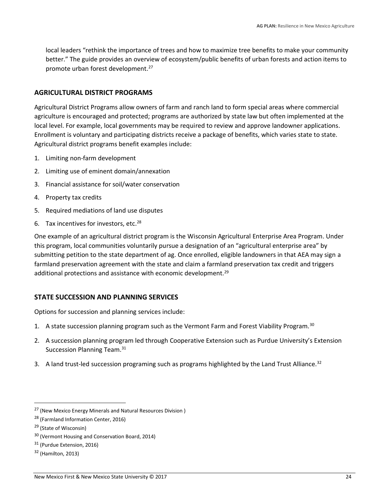local leaders "rethink the importance of trees and how to maximize tree benefits to make your community better." The guide provides an overview of ecosystem/public benefits of urban forests and action items to promote urban forest development. 27

### <span id="page-23-0"></span>**AGRICULTURAL DISTRICT PROGRAMS**

Agricultural District Programs allow owners of farm and ranch land to form special areas where commercial agriculture is encouraged and protected; programs are authorized by state law but often implemented at the local level. For example, local governments may be required to review and approve landowner applications. Enrollment is voluntary and participating districts receive a package of benefits, which varies state to state. Agricultural district programs benefit examples include:

- 1. Limiting non-farm development
- 2. Limiting use of eminent domain/annexation
- 3. Financial assistance for soil/water conservation
- 4. Property tax credits
- 5. Required mediations of land use disputes
- 6. Tax incentives for investors, etc. $28$

One example of an agricultural district program is the Wisconsin Agricultural Enterprise Area Program. Under this program, local communities voluntarily pursue a designation of an "agricultural enterprise area" by submitting petition to the state department of ag. Once enrolled, eligible landowners in that AEA may sign a farmland preservation agreement with the state and claim a farmland preservation tax credit and triggers additional protections and assistance with economic development.<sup>29</sup>

### <span id="page-23-1"></span>**STATE SUCCESSION AND PLANNING SERVICES**

Options for succession and planning services include:

- 1. A state succession planning program such as the Vermont Farm and Forest Viability Program.<sup>30</sup>
- 2. A succession planning program led through Cooperative Extension such as Purdue University's Extension Succession Planning Team.<sup>31</sup>
- 3. A land trust-led succession programing such as programs highlighted by the Land Trust Alliance.<sup>32</sup>

<sup>28</sup> (Farmland Information Center, 2016)

 $\overline{\phantom{0}}$ 

<sup>27</sup> (New Mexico Energy Minerals and Natural Resources Division )

<sup>&</sup>lt;sup>29</sup> (State of Wisconsin)

<sup>30</sup> (Vermont Housing and Conservation Board, 2014)

<sup>31</sup> (Purdue Extension, 2016)

<sup>32</sup> (Hamilton, 2013)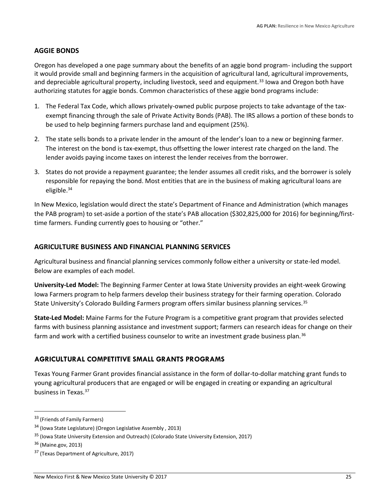### <span id="page-24-0"></span>**AGGIE BONDS**

Oregon has developed a one page summary about the benefits of an aggie bond program- including the support it would provide small and beginning farmers in the acquisition of agricultural land, agricultural improvements, and depreciable agricultural property, including livestock, seed and equipment.<sup>33</sup> Iowa and Oregon both have authorizing statutes for aggie bonds. Common characteristics of these aggie bond programs include:

- 1. The Federal Tax Code, which allows privately-owned public purpose projects to take advantage of the taxexempt financing through the sale of Private Activity Bonds (PAB). The IRS allows a portion of these bonds to be used to help beginning farmers purchase land and equipment (25%).
- 2. The state sells bonds to a private lender in the amount of the lender's loan to a new or beginning farmer. The interest on the bond is tax-exempt, thus offsetting the lower interest rate charged on the land. The lender avoids paying income taxes on interest the lender receives from the borrower.
- 3. States do not provide a repayment guarantee; the lender assumes all credit risks, and the borrower is solely responsible for repaying the bond. Most entities that are in the business of making agricultural loans are eligible.<sup>34</sup>

In New Mexico, legislation would direct the state's Department of Finance and Administration (which manages the PAB program) to set-aside a portion of the state's PAB allocation (\$302,825,000 for 2016) for beginning/firsttime farmers. Funding currently goes to housing or "other."

#### <span id="page-24-1"></span>**AGRICULTURE BUSINESS AND FINANCIAL PLANNING SERVICES**

Agricultural business and financial planning services commonly follow either a university or state-led model. Below are examples of each model.

**University-Led Model:** The Beginning Farmer Center at Iowa State University provides an eight-week Growing Iowa Farmers program to help farmers develop their business strategy for their farming operation. Colorado State University's Colorado Building Farmers program offers similar business planning services.<sup>35</sup>

**State-Led Model:** Maine Farms for the Future Program is a competitive grant program that provides selected farms with business planning assistance and investment support; farmers can research ideas for change on their farm and work with a certified business counselor to write an investment grade business plan.<sup>36</sup>

### <span id="page-24-2"></span>**AGRICULTURAL COMPETITIVE SMALL GRANTS PROGRAMS**

Texas Young Farmer Grant provides financial assistance in the form of dollar-to-dollar matching grant funds to young agricultural producers that are engaged or will be engaged in creating or expanding an agricultural business in Texas.<sup>37</sup>

l

<sup>33 (</sup>Friends of Family Farmers)

<sup>34</sup> (Iowa State Legislature) (Oregon Legislative Assembly , 2013)

<sup>35</sup> (Iowa State University Extension and Outreach) (Colorado State University Extension, 2017)

<sup>36</sup> (Maine.gov, 2013)

<sup>37</sup> (Texas Department of Agriculture, 2017)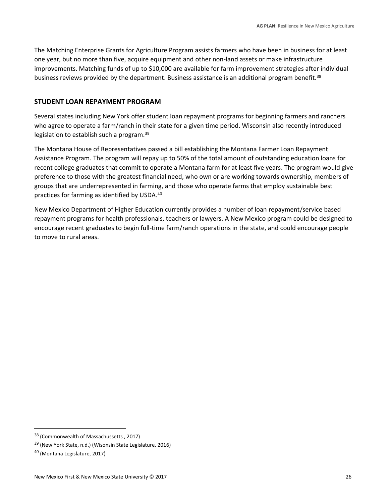The Matching Enterprise Grants for Agriculture Program assists farmers who have been in business for at least one year, but no more than five, acquire equipment and other non-land assets or make infrastructure improvements. Matching funds of up to \$10,000 are available for farm improvement strategies after individual business reviews provided by the department. Business assistance is an additional program benefit.<sup>38</sup>

### <span id="page-25-0"></span>**STUDENT LOAN REPAYMENT PROGRAM**

Several states including New York offer student loan repayment programs for beginning farmers and ranchers who agree to operate a farm/ranch in their state for a given time period. Wisconsin also recently introduced legislation to establish such a program.<sup>39</sup>

The Montana House of Representatives passed a bill establishing the Montana Farmer Loan Repayment Assistance Program. The program will repay up to 50% of the total amount of outstanding education loans for recent college graduates that commit to operate a Montana farm for at least five years. The program would give preference to those with the greatest financial need, who own or are working towards ownership, members of groups that are underrepresented in farming, and those who operate farms that employ sustainable best practices for farming as identified by USDA.<sup>40</sup>

New Mexico Department of Higher Education currently provides a number of loan repayment/service based repayment programs for health professionals, teachers or lawyers. A New Mexico program could be designed to encourage recent graduates to begin full-time farm/ranch operations in the state, and could encourage people to move to rural areas.

l

<sup>38</sup> (Commonwealth of Massachussetts , 2017)

<sup>39</sup> (New York State, n.d.) (Wisonsin State Legislature, 2016)

<sup>40</sup> (Montana Legislature, 2017)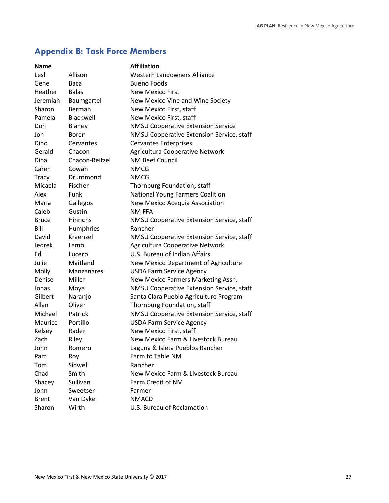### <span id="page-26-0"></span>**Appendix B: Task Force Members**

| <b>Name</b>  |                   | <b>Affiliation</b>                        |
|--------------|-------------------|-------------------------------------------|
| Lesli        | Allison           | <b>Western Landowners Alliance</b>        |
| Gene         | Baca              | <b>Bueno Foods</b>                        |
| Heather      | <b>Balas</b>      | <b>New Mexico First</b>                   |
| Jeremiah     | Baumgartel        | New Mexico Vine and Wine Society          |
| Sharon       | Berman            | New Mexico First, staff                   |
| Pamela       | Blackwell         | New Mexico First, staff                   |
| Don          | Blaney            | <b>NMSU Cooperative Extension Service</b> |
| Jon          | Boren             | NMSU Cooperative Extension Service, staff |
| Dino         | Cervantes         | <b>Cervantes Enterprises</b>              |
| Gerald       | Chacon            | Agricultura Cooperative Network           |
| Dina         | Chacon-Reitzel    | <b>NM Beef Council</b>                    |
| Caren        | Cowan             | <b>NMCG</b>                               |
| Tracy        | Drummond          | <b>NMCG</b>                               |
| Micaela      | Fischer           | Thornburg Foundation, staff               |
| Alex         | Funk              | <b>National Young Farmers Coalition</b>   |
| Maria        | Gallegos          | New Mexico Acequia Association            |
| Caleb        | Gustin            | <b>NM FFA</b>                             |
| <b>Bruce</b> | Hinrichs          | NMSU Cooperative Extension Service, staff |
| Bill         | Humphries         | Rancher                                   |
| David        | Kraenzel          | NMSU Cooperative Extension Service, staff |
| Jedrek       | Lamb              | Agricultura Cooperative Network           |
| Ed           | Lucero            | U.S. Bureau of Indian Affairs             |
| Julie        | Maitland          | New Mexico Department of Agriculture      |
| Molly        | <b>Manzanares</b> | <b>USDA Farm Service Agency</b>           |
| Denise       | Miller            | New Mexico Farmers Marketing Assn.        |
| Jonas        | Moya              | NMSU Cooperative Extension Service, staff |
| Gilbert      | Naranjo           | Santa Clara Pueblo Agriculture Program    |
| Allan        | Oliver            | Thornburg Foundation, staff               |
| Michael      | Patrick           | NMSU Cooperative Extension Service, staff |
| Maurice      | Portillo          | <b>USDA Farm Service Agency</b>           |
| Kelsey       | Rader             | New Mexico First, staff                   |
| Zach         | Riley             | New Mexico Farm & Livestock Bureau        |
| John         | Romero            | Laguna & Isleta Pueblos Rancher           |
| Pam          | Roy               | Farm to Table NM                          |
| Tom          | Sidwell           | Rancher                                   |
| Chad         | Smith             | New Mexico Farm & Livestock Bureau        |
| Shacey       | Sullivan          | Farm Credit of NM                         |
| John         | Sweetser          | Farmer                                    |
| <b>Brent</b> | Van Dyke          | <b>NMACD</b>                              |
| Sharon       | Wirth             | U.S. Bureau of Reclamation                |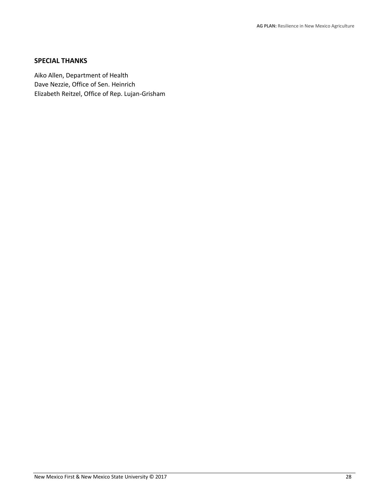### <span id="page-27-0"></span>**SPECIAL THANKS**

Aiko Allen, Department of Health Dave Nezzie, Office of Sen. Heinrich Elizabeth Reitzel, Office of Rep. Lujan-Grisham